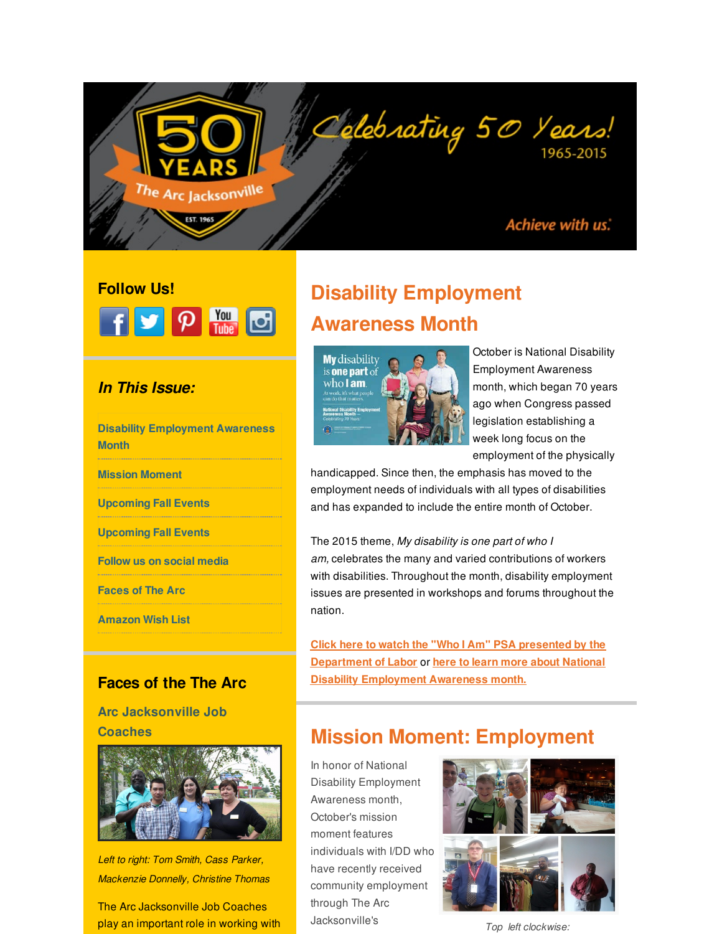## Achieve with us.

1965-2015

# **Follow Us!** F J P M H

<span id="page-0-0"></span>The Arc Jacksonvill<sup>e</sup>

EST. 1965

### *In This Issue:*

**Disability [Employment](#page-0-0) Awareness Month**

**Mission [Moment](#page-0-0)**

**[Upcoming](#page-0-0) Fall Events**

**[Upcoming](#page-0-0) Fall Events**

**[Follow](#page-0-0) us on social media**

**[Faces](#page-0-0) of The Arc**

**[Amazon](#page-0-0) Wish List**

## **Faces of the The Arc**

**Arc Jacksonville Job Coaches**



*Left to right: Tom Smith, Cass Parker, Mackenzie Donnelly, Christine Thomas*

The Arc Jacksonville Job Coaches play an important role in working with

# **Disability Employment Awareness Month**



October is National Disability Employment Awareness month, which began 70 years ago when Congress passed legislation establishing a week long focus on the employment of the physically

handicapped. Since then, the emphasis has moved to the employment needs of individuals with all types of disabilities and has expanded to include the entire month of October.

Delebrating 50 Years!

The 2015 theme, *My disability is one part of who I am,* celebrates the many and varied contributions of workers with disabilities. Throughout the month, disability employment issues are presented in workshops and forums throughout the nation.

**Click here to watch the "Who I Am" PSA presented by the [Department](http://r20.rs6.net/tn.jsp?f=001y1ltD-1ldJDzDiVwNHG-Es5HooYJqU2RTJRjSvwn_LiyjeQXwVNZuE-cQAP_Nk0v5R5TVOgPCXJOZ-p6sW3u75XBaB8ZrDI7aumfZlfaKgmuYD5nuCgueXKuSXbRNSdqc2rrKhW6Ls-dySEmx1VHFlon4tE6k0QM1iFFYeGAXaCR0H-YZIb0OCy7lVhlESMRMf6vxkVjPvrV69KYj4wTDRV-f6q6pZpxlWEax9ohDD3X53YuMyEOK2HC0ypKLpvmrZTYwkG7RutvOL_hIHD5iD1fMxiWeV3Oaz8d2257YAQFVQ38tpjNFgyWJ2ekbgVG&c=&ch=) of Labor** or **here to learn more about National Disability [Employment](http://r20.rs6.net/tn.jsp?f=001y1ltD-1ldJDzDiVwNHG-Es5HooYJqU2RTJRjSvwn_LiyjeQXwVNZuE-cQAP_Nk0vXb4i31z0NiH0u5SofLF2lvSb9LC7sG3FsArcWVMBtapTtWlvrgnmx5dPZzuquJHEbymK-Rb9yfR7c91N-jItp8LgRbH0syY8-XiO_Km5_0Rh2VYVNupZuXYC84Z8wnJmRGTDSisRS7wXZY8iDif8uiyy-gIlorFWSmh7yLASBzcIN-1Nt_p2A4KRKN4b2-erabIAh5pS8z0mSugHll4H5x1b6oDJIZ84SVDcnH-C0xUDuLttyVqoxsWAKdwaagnxyeKVh0O_NYofMnd_hB0VQw==&c=&ch=) Awareness month.**

# **Mission Moment: Employment**

In honor of National Disability Employment Awareness month, October's mission moment features individuals with I/DD who have recently received community employment through The Arc Jacksonville's



*Top left clockwise:*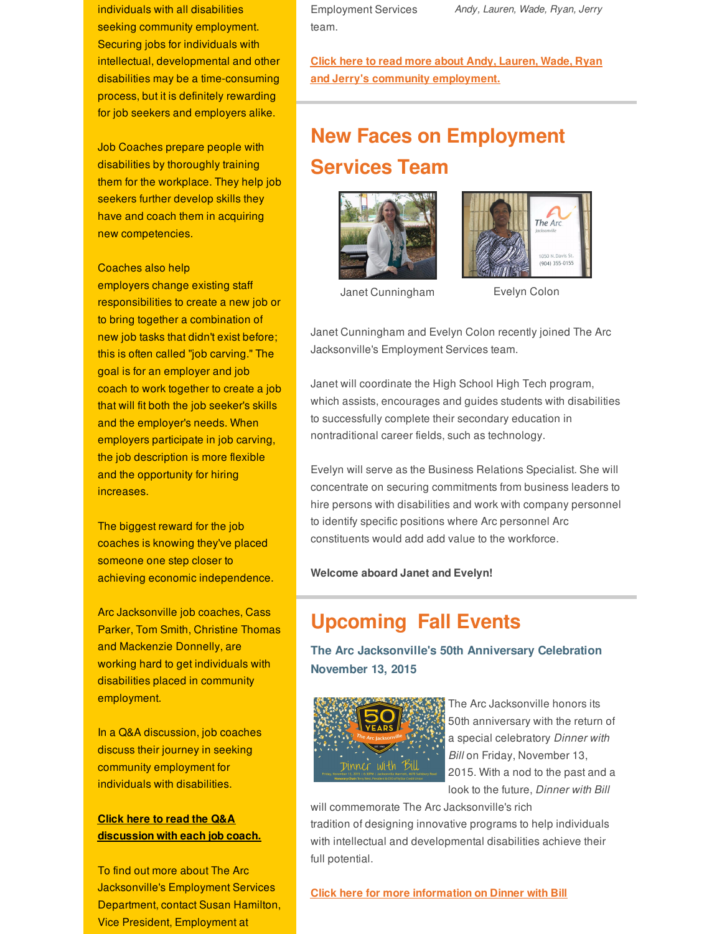individuals with all disabilities *Andy, Lauren, Wade, Ryan, Jerry* seeking community employment. Securing jobs for individuals with intellectual, developmental and other disabilities may be a time-consuming process, but it is definitely rewarding for job seekers and employers alike.

Job Coaches prepare people with disabilities by thoroughly training them for the workplace. They help job seekers further develop skills they have and coach them in acquiring new competencies.

Coaches also help

employers change existing staff responsibilities to create a new job or to bring together a combination of new job tasks that didn't exist before; this is often called "job carving." The goal is for an employer and job coach to work together to create a job that will fit both the job seeker's skills and the employer's needs. When employers participate in job carving, the job description is more flexible and the opportunity for hiring increases.

The biggest reward for the job coaches is knowing they've placed someone one step closer to achieving economic independence.

Arc Jacksonville job coaches, Cass Parker, Tom Smith, Christine Thomas and Mackenzie Donnelly, are working hard to get individuals with disabilities placed in community employment.

In a Q&A discussion, job coaches discuss their journey in seeking community employment for individuals with disabilities.

### **Click here to read the Q&A [discussion](http://r20.rs6.net/tn.jsp?f=001y1ltD-1ldJDzDiVwNHG-Es5HooYJqU2RTJRjSvwn_LiyjeQXwVNZuERjxSdZLBscAzwDMnmEIHDetjC4ClthJcVEieElbD-b25KjzNX4-d4u4z4tJB070TlFFv0b9sidjxiLP4WoQP6rCgIJkt8aiC5IfR_ZS7HwLcc3jhw5Gqc1Y-cH5t42PTtQ3DYiZ63G6I_Vh5v6TJE5LjO5ooGeWerwJ2WMLYf91RJcCxqBZWSPTAgzIsX19uLpsP4-ZPzhfKNWvUfTSgJkJeoEnOR43MHwNSdJWY0yrRuQ4VUbbMrKSYqr_vzK0e5X1pSV8A-ctoaF35gRc5M72XUhTjX-IPonAmxWJq4A6eYYQC8zh9QaE6BMhkjyvaTIVMP4rtISBSFGLiM-xXs=&c=&ch=) with each job coach.**

To find out more about The Arc Jacksonville's Employment Services Department, contact Susan Hamilton, Vice President, Employment at

Employment Services team.

**Click here to read more about Andy, Lauren, Wade, Ryan and Jerry's community [employment.](http://r20.rs6.net/tn.jsp?f=001y1ltD-1ldJDzDiVwNHG-Es5HooYJqU2RTJRjSvwn_LiyjeQXwVNZuERjxSdZLBsci-KmTCOmrGEu3TWcE8IXsnLSctcLSFSbvK3_riAy7fznQxiPgp4mI9LINrIBSNd4uwd8c4Kk9XmuAfQOJ0qy5njqAoLnlb0559X2eylJnUgTHTl-xa56skQ1f0LMvELHUE46RLk12RirHBQHOLrt0hdINiE4fhJBzbdl24mjsrVNfU4l-jAbWgfnbYNa8uoECt6aU9Yp9UMkxNq3ho47S8iQ9UPPTthhJfguEP_7sU5rHo7I8-g4pmWdzY1vjeIqyp9ktlLCDN1c5N2YH8YMfI4Ry50eY_C_Hp6NTMMiZMKhQADKyajnVg==&c=&ch=)**

# **New Faces on Employment Services Team**





Janet Cunningham Evelyn Colon

Janet Cunningham and Evelyn Colon recently joined The Arc Jacksonville's Employment Services team.

Janet will coordinate the High School High Tech program, which assists, encourages and guides students with disabilities to successfully complete their secondary education in nontraditional career fields, such as technology.

Evelyn will serve as the Business Relations Specialist. She will concentrate on securing commitments from business leaders to hire persons with disabilities and work with company personnel to identify specific positions where Arc personnel Arc constituents would add add value to the workforce.

**Welcome aboard Janet and Evelyn!**

# **Upcoming Fall Events**

**The Arc Jacksonville's 50th Anniversary Celebration November 13, 2015**



The Arc Jacksonville honors its 50th anniversary with the return of a special celebratory *Dinner with Bill* on Friday, November 13, 2015. With a nod to the past and a look to the future, *Dinner with Bill*

will commemorate The Arc Jacksonville's rich tradition of designing innovative programs to help individuals

with intellectual and developmental disabilities achieve their full potential.

**Click here for more [information](http://r20.rs6.net/tn.jsp?f=001y1ltD-1ldJDzDiVwNHG-Es5HooYJqU2RTJRjSvwn_LiyjeQXwVNZuMnvguvKyD4DPTXvlzbRiGJxrGlnmJ2NLtIA6inkseloxK7Q1BvgcB7-eM4c9HNDtYg1LhPjBb729m62b6v1qPbGOMaPf-dVYvD3FrzUZUUadUjygHiee1lpR_CduwIw3nKpDmXr7F4lG0V89UUHb01p3QDOZyxTIx6ZCtxCG-gbFbW4Xavwpoc_qIDoeDVPCnnuPguHk5S4xU5UHaOHXsR83yJTE-DxEL_poklWpKFajPr8LWSLetisLCGHeaqua_fz_Gekpzkz_9M-LUI5ThfYQlvUnj6LjeugTeUkRbRzOJXTX8_DvUY=&c=&ch=) on Dinner with Bill**